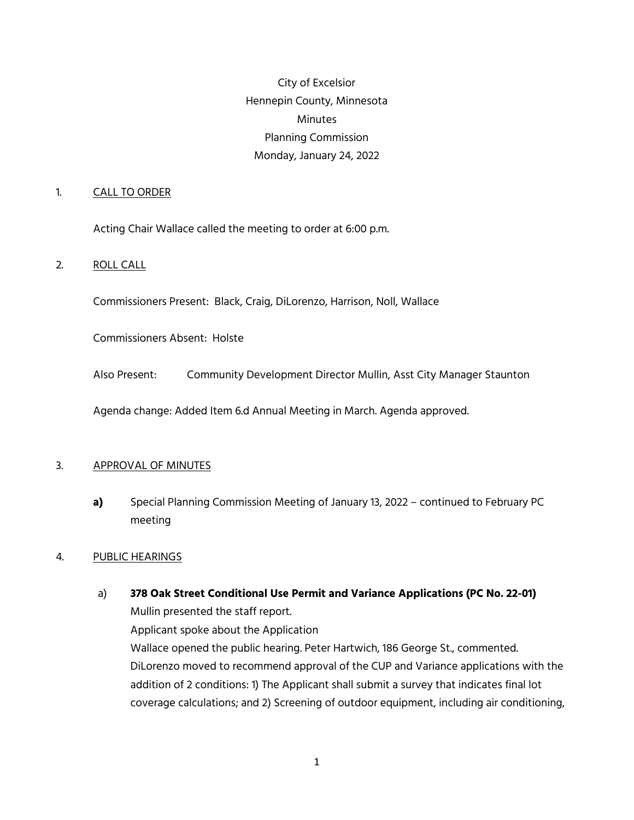City of Excelsior Hennepin County, Minnesota Minutes Planning Commission Monday, January 24, 2022

#### 1. CALL TO ORDER

Acting Chair Wallace called the meeting to order at 6:00 p.m.

#### 2. ROLL CALL

Commissioners Present: Black, Craig, DiLorenzo, Harrison, Noll, Wallace

Commissioners Absent: Holste

Also Present: Community Development Director Mullin, Asst City Manager Staunton

Agenda change: Added Item 6.d Annual Meeting in March. Agenda approved.

#### 3. APPROVAL OF MINUTES

**a)** Special Planning Commission Meeting of January 13, 2022 – continued to February PC meeting

#### 4. PUBLIC HEARINGS

a) **378 Oak Street Conditional Use Permit and Variance Applications (PC No. 22-01)** Mullin presented the staff report. Applicant spoke about the Application Wallace opened the public hearing. Peter Hartwich, 186 George St., commented. DiLorenzo moved to recommend approval of the CUP and Variance applications with the addition of 2 conditions: 1) The Applicant shall submit a survey that indicates final lot coverage calculations; and 2) Screening of outdoor equipment, including air conditioning,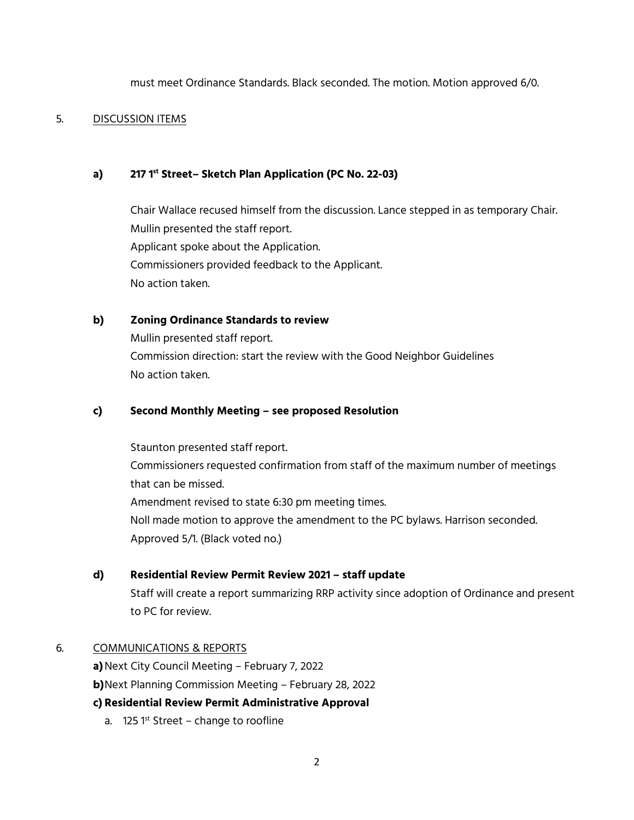must meet Ordinance Standards. Black seconded. The motion. Motion approved 6/0.

#### 5. DISCUSSION ITEMS

### **a) 217 1st Street– Sketch Plan Application (PC No. 22-03)**

Chair Wallace recused himself from the discussion. Lance stepped in as temporary Chair. Mullin presented the staff report. Applicant spoke about the Application. Commissioners provided feedback to the Applicant. No action taken.

## **b) Zoning Ordinance Standards to review**

Mullin presented staff report. Commission direction: start the review with the Good Neighbor Guidelines No action taken.

#### **c) Second Monthly Meeting – see proposed Resolution**

Staunton presented staff report. Commissioners requested confirmation from staff of the maximum number of meetings that can be missed. Amendment revised to state 6:30 pm meeting times. Noll made motion to approve the amendment to the PC bylaws. Harrison seconded. Approved 5/1. (Black voted no.)

## **d) Residential Review Permit Review 2021 – staff update**

Staff will create a report summarizing RRP activity since adoption of Ordinance and present to PC for review.

#### 6. COMMUNICATIONS & REPORTS

**a)**Next City Council Meeting – February 7, 2022

**b)**Next Planning Commission Meeting – February 28, 2022

## **c) Residential Review Permit Administrative Approval**

a. 125  $1^{st}$  Street – change to roofline